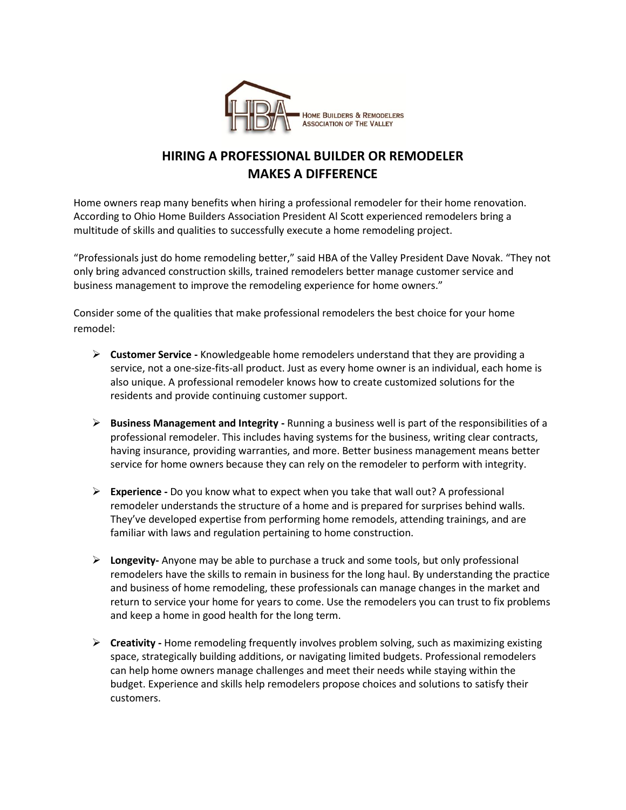

## **HIRING A PROFESSIONAL BUILDER OR REMODELER MAKES A DIFFERENCE**

Home owners reap many benefits when hiring a professional remodeler for their home renovation. According to Ohio Home Builders Association President Al Scott experienced remodelers bring a multitude of skills and qualities to successfully execute a home remodeling project.

"Professionals just do home remodeling better," said HBA of the Valley President Dave Novak. "They not only bring advanced construction skills, trained remodelers better manage customer service and business management to improve the remodeling experience for home owners."

Consider some of the qualities that make professional remodelers the best choice for your home remodel:

- **Customer Service -** Knowledgeable home remodelers understand that they are providing a service, not a one-size-fits-all product. Just as every home owner is an individual, each home is also unique. A professional remodeler knows how to create customized solutions for the residents and provide continuing customer support.
- **Business Management and Integrity -** Running a business well is part of the responsibilities of a professional remodeler. This includes having systems for the business, writing clear contracts, having insurance, providing warranties, and more. Better business management means better service for home owners because they can rely on the remodeler to perform with integrity.
- **Experience -** Do you know what to expect when you take that wall out? A professional remodeler understands the structure of a home and is prepared for surprises behind walls. They've developed expertise from performing home remodels, attending trainings, and are familiar with laws and regulation pertaining to home construction.
- **Longevity-** Anyone may be able to purchase a truck and some tools, but only professional remodelers have the skills to remain in business for the long haul. By understanding the practice and business of home remodeling, these professionals can manage changes in the market and return to service your home for years to come. Use the remodelers you can trust to fix problems and keep a home in good health for the long term.
- **Creativity -** Home remodeling frequently involves problem solving, such as maximizing existing space, strategically building additions, or navigating limited budgets. Professional remodelers can help home owners manage challenges and meet their needs while staying within the budget. Experience and skills help remodelers propose choices and solutions to satisfy their customers.